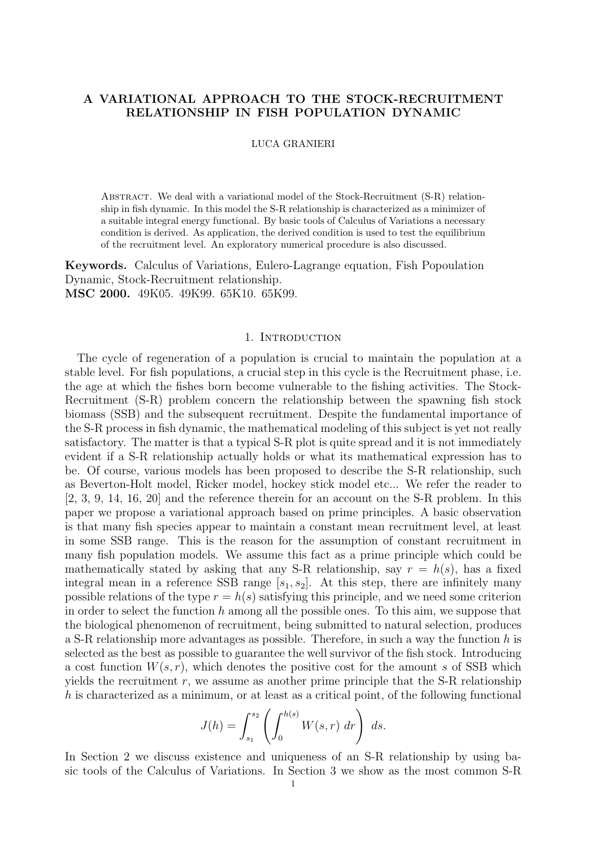# A VARIATIONAL APPROACH TO THE STOCK-RECRUITMENT RELATIONSHIP IN FISH POPULATION DYNAMIC

#### LUCA GRANIERI

ABSTRACT. We deal with a variational model of the Stock-Recruitment (S-R) relationship in fish dynamic. In this model the S-R relationship is characterized as a minimizer of a suitable integral energy functional. By basic tools of Calculus of Variations a necessary condition is derived. As application, the derived condition is used to test the equilibrium of the recruitment level. An exploratory numerical procedure is also discussed.

Keywords. Calculus of Variations, Eulero-Lagrange equation, Fish Popoulation Dynamic, Stock-Recruitment relationship. MSC 2000. 49K05. 49K99. 65K10. 65K99.

### 1. INTRODUCTION

The cycle of regeneration of a population is crucial to maintain the population at a stable level. For fish populations, a crucial step in this cycle is the Recruitment phase, i.e. the age at which the fishes born become vulnerable to the fishing activities. The Stock-Recruitment (S-R) problem concern the relationship between the spawning fish stock biomass (SSB) and the subsequent recruitment. Despite the fundamental importance of the S-R process in fish dynamic, the mathematical modeling of this subject is yet not really satisfactory. The matter is that a typical S-R plot is quite spread and it is not immediately evident if a S-R relationship actually holds or what its mathematical expression has to be. Of course, various models has been proposed to describe the S-R relationship, such as Beverton-Holt model, Ricker model, hockey stick model etc... We refer the reader to [2, 3, 9, 14, 16, 20] and the reference therein for an account on the S-R problem. In this paper we propose a variational approach based on prime principles. A basic observation is that many fish species appear to maintain a constant mean recruitment level, at least in some SSB range. This is the reason for the assumption of constant recruitment in many fish population models. We assume this fact as a prime principle which could be mathematically stated by asking that any S-R relationship, say  $r = h(s)$ , has a fixed integral mean in a reference SSB range  $[s_1, s_2]$ . At this step, there are infinitely many possible relations of the type  $r = h(s)$  satisfying this principle, and we need some criterion in order to select the function h among all the possible ones. To this aim, we suppose that the biological phenomenon of recruitment, being submitted to natural selection, produces a S-R relationship more advantages as possible. Therefore, in such a way the function  $h$  is selected as the best as possible to guarantee the well survivor of the fish stock. Introducing a cost function  $W(s, r)$ , which denotes the positive cost for the amount s of SSB which yields the recruitment  $r$ , we assume as another prime principle that the S-R relationship  $h$  is characterized as a minimum, or at least as a critical point, of the following functional

$$
J(h) = \int_{s_1}^{s_2} \left( \int_0^{h(s)} W(s, r) dr \right) ds.
$$

In Section 2 we discuss existence and uniqueness of an S-R relationship by using basic tools of the Calculus of Variations. In Section 3 we show as the most common S-R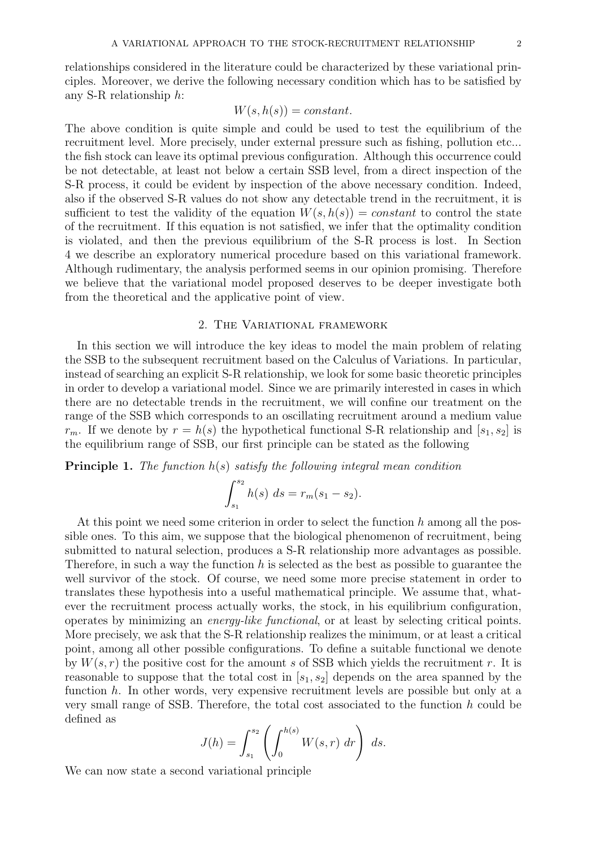relationships considered in the literature could be characterized by these variational principles. Moreover, we derive the following necessary condition which has to be satisfied by any S-R relationship h:

## $W(s, h(s)) = constant.$

The above condition is quite simple and could be used to test the equilibrium of the recruitment level. More precisely, under external pressure such as fishing, pollution etc... the fish stock can leave its optimal previous configuration. Although this occurrence could be not detectable, at least not below a certain SSB level, from a direct inspection of the S-R process, it could be evident by inspection of the above necessary condition. Indeed, also if the observed S-R values do not show any detectable trend in the recruitment, it is sufficient to test the validity of the equation  $W(s, h(s)) = constant$  to control the state of the recruitment. If this equation is not satisfied, we infer that the optimality condition is violated, and then the previous equilibrium of the S-R process is lost. In Section 4 we describe an exploratory numerical procedure based on this variational framework. Although rudimentary, the analysis performed seems in our opinion promising. Therefore we believe that the variational model proposed deserves to be deeper investigate both from the theoretical and the applicative point of view.

### 2. The Variational framework

In this section we will introduce the key ideas to model the main problem of relating the SSB to the subsequent recruitment based on the Calculus of Variations. In particular, instead of searching an explicit S-R relationship, we look for some basic theoretic principles in order to develop a variational model. Since we are primarily interested in cases in which there are no detectable trends in the recruitment, we will confine our treatment on the range of the SSB which corresponds to an oscillating recruitment around a medium value  $r_m$ . If we denote by  $r = h(s)$  the hypothetical functional S-R relationship and  $[s_1, s_2]$  is the equilibrium range of SSB, our first principle can be stated as the following

**Principle 1.** The function  $h(s)$  satisfy the following integral mean condition

$$
\int_{s_1}^{s_2} h(s) \ ds = r_m(s_1 - s_2).
$$

At this point we need some criterion in order to select the function  $h$  among all the possible ones. To this aim, we suppose that the biological phenomenon of recruitment, being submitted to natural selection, produces a S-R relationship more advantages as possible. Therefore, in such a way the function h is selected as the best as possible to guarantee the well survivor of the stock. Of course, we need some more precise statement in order to translates these hypothesis into a useful mathematical principle. We assume that, whatever the recruitment process actually works, the stock, in his equilibrium configuration, operates by minimizing an energy-like functional, or at least by selecting critical points. More precisely, we ask that the S-R relationship realizes the minimum, or at least a critical point, among all other possible configurations. To define a suitable functional we denote by  $W(s, r)$  the positive cost for the amount s of SSB which yields the recruitment r. It is reasonable to suppose that the total cost in  $[s_1, s_2]$  depends on the area spanned by the function h. In other words, very expensive recruitment levels are possible but only at a very small range of SSB. Therefore, the total cost associated to the function h could be defined as

$$
J(h) = \int_{s_1}^{s_2} \left( \int_0^{h(s)} W(s, r) dr \right) ds.
$$

We can now state a second variational principle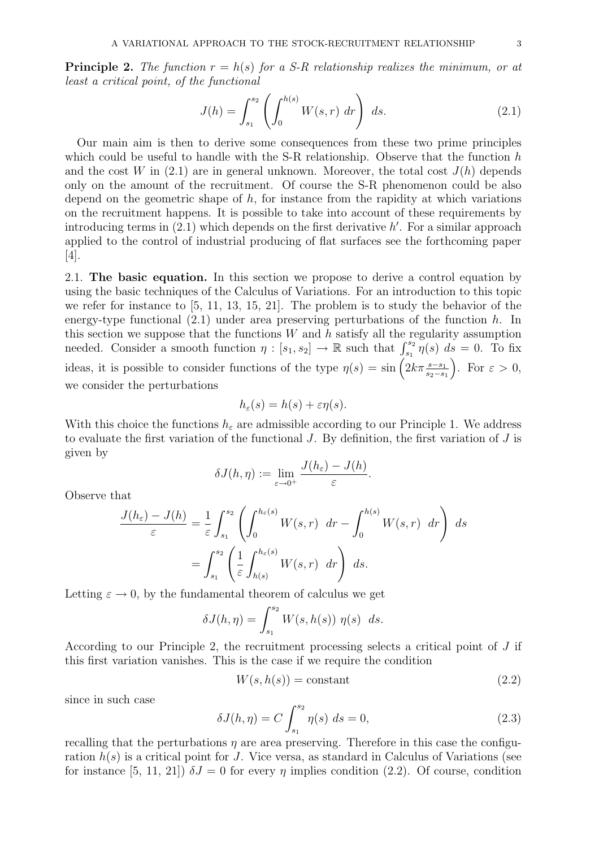**Principle 2.** The function  $r = h(s)$  for a S-R relationship realizes the minimum, or at least a critical point, of the functional

$$
J(h) = \int_{s_1}^{s_2} \left( \int_0^{h(s)} W(s, r) \, dr \right) \, ds. \tag{2.1}
$$

Our main aim is then to derive some consequences from these two prime principles which could be useful to handle with the S-R relationship. Observe that the function  $h$ and the cost W in  $(2.1)$  are in general unknown. Moreover, the total cost  $J(h)$  depends only on the amount of the recruitment. Of course the S-R phenomenon could be also depend on the geometric shape of  $h$ , for instance from the rapidity at which variations on the recruitment happens. It is possible to take into account of these requirements by introducing terms in  $(2.1)$  which depends on the first derivative h'. For a similar approach applied to the control of industrial producing of flat surfaces see the forthcoming paper [4].

2.1. The basic equation. In this section we propose to derive a control equation by using the basic techniques of the Calculus of Variations. For an introduction to this topic we refer for instance to [5, 11, 13, 15, 21]. The problem is to study the behavior of the energy-type functional  $(2.1)$  under area preserving perturbations of the function h. In this section we suppose that the functions  $W$  and  $h$  satisfy all the regularity assumption needed. Consider a smooth function  $\eta : [s_1, s_2] \to \mathbb{R}$  such that  $\int_{s_1}^{s_2} \eta(s) ds = 0$ . To fix ideas, it is possible to consider functions of the type  $\eta(s) = \sin\left(2k\pi \frac{s-s_1}{s_2-s_1}\right)$ . For  $\varepsilon > 0$ , we consider the perturbations

$$
h_{\varepsilon}(s) = h(s) + \varepsilon \eta(s).
$$

With this choice the functions  $h_{\varepsilon}$  are admissible according to our Principle 1. We address to evaluate the first variation of the functional  $J$ . By definition, the first variation of  $J$  is given by

$$
\delta J(h,\eta) := \lim_{\varepsilon \to 0^+} \frac{J(h_{\varepsilon}) - J(h)}{\varepsilon}.
$$

Observe that

$$
\frac{J(h_{\varepsilon}) - J(h)}{\varepsilon} = \frac{1}{\varepsilon} \int_{s_1}^{s_2} \left( \int_0^{h_{\varepsilon}(s)} W(s, r) dr - \int_0^{h(s)} W(s, r) dr \right) ds
$$

$$
= \int_{s_1}^{s_2} \left( \frac{1}{\varepsilon} \int_{h(s)}^{h_{\varepsilon}(s)} W(s, r) dr \right) ds.
$$

Letting  $\varepsilon \to 0$ , by the fundamental theorem of calculus we get

$$
\delta J(h,\eta) = \int_{s_1}^{s_2} W(s,h(s)) \eta(s) ds.
$$

According to our Principle 2, the recruitment processing selects a critical point of J if this first variation vanishes. This is the case if we require the condition

$$
W(s, h(s)) = \text{constant} \tag{2.2}
$$

since in such case

$$
\delta J(h,\eta) = C \int_{s_1}^{s_2} \eta(s) \, ds = 0,\tag{2.3}
$$

recalling that the perturbations  $\eta$  are area preserving. Therefore in this case the configuration  $h(s)$  is a critical point for J. Vice versa, as standard in Calculus of Variations (see for instance [5, 11, 21])  $\delta J = 0$  for every  $\eta$  implies condition (2.2). Of course, condition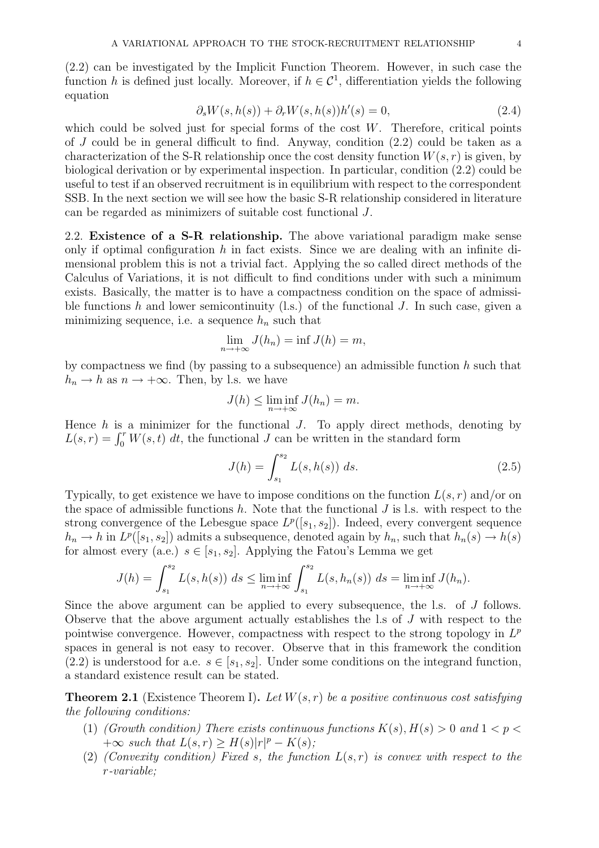(2.2) can be investigated by the Implicit Function Theorem. However, in such case the function h is defined just locally. Moreover, if  $h \in \mathcal{C}^1$ , differentiation yields the following equation

$$
\partial_s W(s, h(s)) + \partial_r W(s, h(s)) h'(s) = 0,
$$
\n(2.4)

which could be solved just for special forms of the cost  $W$ . Therefore, critical points of J could be in general difficult to find. Anyway, condition (2.2) could be taken as a characterization of the S-R relationship once the cost density function  $W(s, r)$  is given, by biological derivation or by experimental inspection. In particular, condition (2.2) could be useful to test if an observed recruitment is in equilibrium with respect to the correspondent SSB. In the next section we will see how the basic S-R relationship considered in literature can be regarded as minimizers of suitable cost functional J.

2.2. Existence of a S-R relationship. The above variational paradigm make sense only if optimal configuration  $h$  in fact exists. Since we are dealing with an infinite dimensional problem this is not a trivial fact. Applying the so called direct methods of the Calculus of Variations, it is not difficult to find conditions under with such a minimum exists. Basically, the matter is to have a compactness condition on the space of admissible functions h and lower semicontinuity  $(1s)$  of the functional J. In such case, given a minimizing sequence, i.e. a sequence  $h_n$  such that

$$
\lim_{n \to +\infty} J(h_n) = \inf J(h) = m,
$$

by compactness we find (by passing to a subsequence) an admissible function  $h$  such that  $h_n \to h$  as  $n \to +\infty$ . Then, by l.s. we have

$$
J(h) \le \liminf_{n \to +\infty} J(h_n) = m.
$$

Hence  $h$  is a minimizer for the functional  $J$ . To apply direct methods, denoting by  $L(s,r) = \int_0^r W(s,t) dt$ , the functional J can be written in the standard form

$$
J(h) = \int_{s_1}^{s_2} L(s, h(s)) \ ds.
$$
 (2.5)

Typically, to get existence we have to impose conditions on the function  $L(s, r)$  and/or on the space of admissible functions  $h$ . Note that the functional  $J$  is l.s. with respect to the strong convergence of the Lebesgue space  $L^p([s_1, s_2])$ . Indeed, every convergent sequence  $h_n \to h$  in  $L^p([s_1, s_2])$  admits a subsequence, denoted again by  $h_n$ , such that  $h_n(s) \to h(s)$ for almost every (a.e.)  $s \in [s_1, s_2]$ . Applying the Fatou's Lemma we get

$$
J(h) = \int_{s_1}^{s_2} L(s, h(s)) \ ds \le \liminf_{n \to +\infty} \int_{s_1}^{s_2} L(s, h_n(s)) \ ds = \liminf_{n \to +\infty} J(h_n).
$$

Since the above argument can be applied to every subsequence, the l.s. of J follows. Observe that the above argument actually establishes the l.s of J with respect to the pointwise convergence. However, compactness with respect to the strong topology in  $L^p$ spaces in general is not easy to recover. Observe that in this framework the condition (2.2) is understood for a.e.  $s \in [s_1, s_2]$ . Under some conditions on the integrand function, a standard existence result can be stated.

**Theorem 2.1** (Existence Theorem I). Let  $W(s, r)$  be a positive continuous cost satisfying the following conditions:

- (1) (Growth condition) There exists continuous functions  $K(s)$ ,  $H(s) > 0$  and  $1 < p <$  $+\infty$  such that  $L(s,r) \geq H(s)|r|^p - K(s);$
- (2) (Convexity condition) Fixed s, the function  $L(s,r)$  is convex with respect to the r-variable;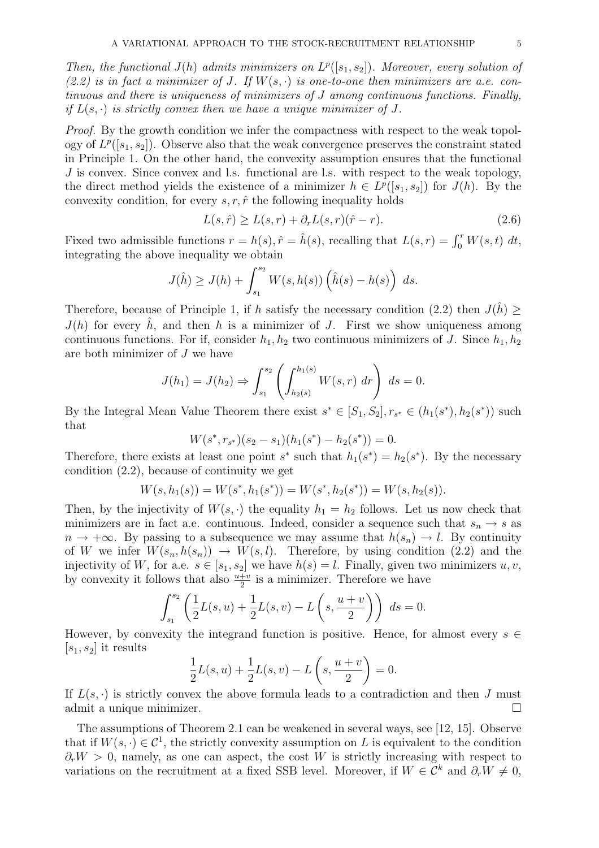Then, the functional  $J(h)$  admits minimizers on  $L^p([s_1, s_2])$ . Moreover, every solution of (2.2) is in fact a minimizer of J. If  $W(s, \cdot)$  is one-to-one then minimizers are a.e. continuous and there is uniqueness of minimizers of J among continuous functions. Finally, if  $L(s, \cdot)$  is strictly convex then we have a unique minimizer of J.

Proof. By the growth condition we infer the compactness with respect to the weak topology of  $L^p([s_1, s_2])$ . Observe also that the weak convergence preserves the constraint stated in Principle 1. On the other hand, the convexity assumption ensures that the functional J is convex. Since convex and l.s. functional are l.s. with respect to the weak topology, the direct method yields the existence of a minimizer  $h \in L^p([s_1, s_2])$  for  $J(h)$ . By the convexity condition, for every  $s, r, \hat{r}$  the following inequality holds

$$
L(s,\hat{r}) \ge L(s,r) + \partial_r L(s,r)(\hat{r} - r).
$$
\n(2.6)

Fixed two admissible functions  $r = h(s)$ ,  $\hat{r} = \hat{h}(s)$ , recalling that  $L(s,r) = \int_0^r W(s,t) dt$ , integrating the above inequality we obtain

$$
J(\hat{h}) \geq J(h) + \int_{s_1}^{s_2} W(s, h(s)) \left(\hat{h}(s) - h(s)\right) ds.
$$

Therefore, because of Principle 1, if h satisfy the necessary condition (2.2) then  $J(\hat{h}) \geq$  $J(h)$  for every  $\hat{h}$ , and then h is a minimizer of J. First we show uniqueness among continuous functions. For if, consider  $h_1, h_2$  two continuous minimizers of J. Since  $h_1, h_2$ are both minimizer of J we have

$$
J(h_1) = J(h_2) \Rightarrow \int_{s_1}^{s_2} \left( \int_{h_2(s)}^{h_1(s)} W(s, r) \, dr \right) \, ds = 0.
$$

By the Integral Mean Value Theorem there exist  $s^* \in [S_1, S_2], r_{s^*} \in (h_1(s^*), h_2(s^*))$  such that

$$
W(s^*, r_{s^*})(s_2 - s_1)(h_1(s^*) - h_2(s^*)) = 0.
$$

Therefore, there exists at least one point  $s^*$  such that  $h_1(s^*) = h_2(s^*)$ . By the necessary condition (2.2), because of continuity we get

$$
W(s, h_1(s)) = W(s^*, h_1(s^*)) = W(s^*, h_2(s^*)) = W(s, h_2(s)).
$$

Then, by the injectivity of  $W(s, \cdot)$  the equality  $h_1 = h_2$  follows. Let us now check that minimizers are in fact a.e. continuous. Indeed, consider a sequence such that  $s_n \to s$  as  $n \to +\infty$ . By passing to a subsequence we may assume that  $h(s_n) \to l$ . By continuity of W we infer  $W(s_n, h(s_n)) \to W(s, l)$ . Therefore, by using condition (2.2) and the injectivity of W, for a.e.  $s \in [s_1, s_2]$  we have  $h(s) = l$ . Finally, given two minimizers  $u, v$ , by convexity it follows that also  $\frac{u+v}{2}$  is a minimizer. Therefore we have

$$
\int_{s_1}^{s_2} \left( \frac{1}{2} L(s, u) + \frac{1}{2} L(s, v) - L\left(s, \frac{u + v}{2}\right) \right) ds = 0.
$$

However, by convexity the integrand function is positive. Hence, for almost every  $s \in$  $[s_1, s_2]$  it results

$$
\frac{1}{2}L(s, u) + \frac{1}{2}L(s, v) - L\left(s, \frac{u + v}{2}\right) = 0.
$$

If  $L(s, \cdot)$  is strictly convex the above formula leads to a contradiction and then J must admit a unique minimizer.

The assumptions of Theorem 2.1 can be weakened in several ways, see [12, 15]. Observe that if  $W(s, \cdot) \in \mathcal{C}^1$ , the strictly convexity assumption on L is equivalent to the condition  $\partial_r W > 0$ , namely, as one can aspect, the cost W is strictly increasing with respect to variations on the recruitment at a fixed SSB level. Moreover, if  $W \in \tilde{\mathcal{C}}^k$  and  $\partial_r W \neq 0$ ,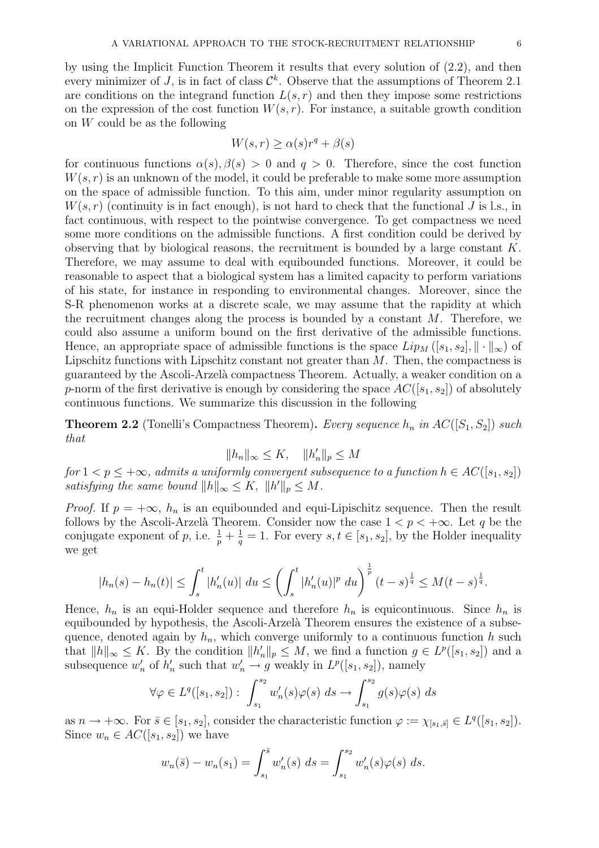by using the Implicit Function Theorem it results that every solution of (2.2), and then every minimizer of J, is in fact of class  $\mathcal{C}^k$ . Observe that the assumptions of Theorem 2.1 are conditions on the integrand function  $L(s, r)$  and then they impose some restrictions on the expression of the cost function  $W(s, r)$ . For instance, a suitable growth condition on W could be as the following

$$
W(s,r) \ge \alpha(s)r^{q} + \beta(s)
$$

for continuous functions  $\alpha(s)$ ,  $\beta(s) > 0$  and  $q > 0$ . Therefore, since the cost function  $W(s, r)$  is an unknown of the model, it could be preferable to make some more assumption on the space of admissible function. To this aim, under minor regularity assumption on  $W(s, r)$  (continuity is in fact enough), is not hard to check that the functional J is l.s., in fact continuous, with respect to the pointwise convergence. To get compactness we need some more conditions on the admissible functions. A first condition could be derived by observing that by biological reasons, the recruitment is bounded by a large constant  $K$ . Therefore, we may assume to deal with equibounded functions. Moreover, it could be reasonable to aspect that a biological system has a limited capacity to perform variations of his state, for instance in responding to environmental changes. Moreover, since the S-R phenomenon works at a discrete scale, we may assume that the rapidity at which the recruitment changes along the process is bounded by a constant  $M$ . Therefore, we could also assume a uniform bound on the first derivative of the admissible functions. Hence, an appropriate space of admissible functions is the space  $Lip_M([s_1, s_2], \| \cdot \|_{\infty})$  of Lipschitz functions with Lipschitz constant not greater than  $M$ . Then, the compactness is guaranteed by the Ascoli-Arzel`a compactness Theorem. Actually, a weaker condition on a p-norm of the first derivative is enough by considering the space  $AC([s_1, s_2])$  of absolutely continuous functions. We summarize this discussion in the following

**Theorem 2.2** (Tonelli's Compactness Theorem). Every sequence  $h_n$  in  $AC([S_1, S_2])$  such that

$$
||h_n||_{\infty} \le K, \quad ||h'_n||_p \le M
$$

for  $1 < p \leq +\infty$ , admits a uniformly convergent subsequence to a function  $h \in AC([s_1, s_2])$ satisfying the same bound  $||h||_{\infty} \leq K$ ,  $||h'||_p \leq M$ .

*Proof.* If  $p = +\infty$ ,  $h_n$  is an equibounded and equi-Lipischitz sequence. Then the result follows by the Ascoli-Arzelà Theorem. Consider now the case  $1 < p < +\infty$ . Let q be the conjugate exponent of p, i.e.  $\frac{1}{p} + \frac{1}{q} = 1$ . For every  $s, t \in [s_1, s_2]$ , by the Holder inequality we get

$$
|h_n(s) - h_n(t)| \leq \int_s^t |h'_n(u)| \ du \leq \left(\int_s^t |h'_n(u)|^p \ du\right)^{\frac{1}{p}} (t-s)^{\frac{1}{q}} \leq M(t-s)^{\frac{1}{q}}.
$$

Hence,  $h_n$  is an equi-Holder sequence and therefore  $h_n$  is equicontinuous. Since  $h_n$  is equibounded by hypothesis, the Ascoli-Arzelà Theorem ensures the existence of a subsequence, denoted again by  $h_n$ , which converge uniformly to a continuous function h such that  $||h||_{\infty} \leq K$ . By the condition  $||h'_n||_p \leq M$ , we find a function  $g \in L^p([s_1, s_2])$  and a subsequence  $w'_r$  $n'$  of  $h'_n$ such that  $w'_n \to g$  weakly in  $L^p([s_1, s_2])$ , namely

$$
\forall \varphi \in L^{q}([s_1, s_2]) : \int_{s_1}^{s_2} w'_n(s) \varphi(s) ds \to \int_{s_1}^{s_2} g(s) \varphi(s) ds
$$

as  $n \to +\infty$ . For  $\bar{s} \in [s_1, s_2]$ , consider the characteristic function  $\varphi := \chi_{[s_1, \bar{s}]} \in L^q([s_1, s_2])$ . Since  $w_n \in AC([s_1, s_2])$  we have

$$
w_n(\bar{s}) - w_n(s_1) = \int_{s_1}^{\bar{s}} w'_n(s) \, ds = \int_{s_1}^{s_2} w'_n(s) \varphi(s) \, ds.
$$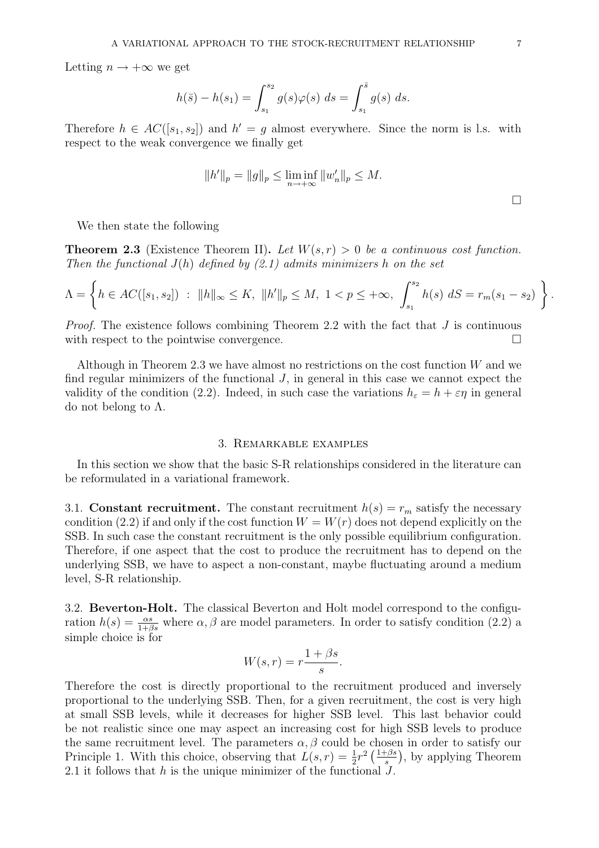Letting  $n \to +\infty$  we get

$$
h(\bar{s}) - h(s_1) = \int_{s_1}^{s_2} g(s)\varphi(s) \ ds = \int_{s_1}^{\bar{s}} g(s) \ ds.
$$

Therefore  $h \in AC([s_1, s_2])$  and  $h' = g$  almost everywhere. Since the norm is l.s. with respect to the weak convergence we finally get

$$
||h'||_p = ||g||_p \le \liminf_{n \to +\infty} ||w'_n||_p \le M.
$$

We then state the following

**Theorem 2.3** (Existence Theorem II). Let  $W(s, r) > 0$  be a continuous cost function. Then the functional  $J(h)$  defined by (2.1) admits minimizers h on the set

$$
\Lambda = \left\{ h \in AC([s_1, s_2]) : ||h||_{\infty} \le K, ||h'||_p \le M, 1 < p \le +\infty, \int_{s_1}^{s_2} h(s) dS = r_m(s_1 - s_2) \right\}.
$$

*Proof.* The existence follows combining Theorem 2.2 with the fact that  $J$  is continuous with respect to the pointwise convergence.

Although in Theorem 2.3 we have almost no restrictions on the cost function  $W$  and we find regular minimizers of the functional  $J$ , in general in this case we cannot expect the validity of the condition (2.2). Indeed, in such case the variations  $h_{\varepsilon} = h + \varepsilon \eta$  in general do not belong to  $Λ$ .

#### 3. Remarkable examples

In this section we show that the basic S-R relationships considered in the literature can be reformulated in a variational framework.

3.1. Constant recruitment. The constant recruitment  $h(s) = r_m$  satisfy the necessary condition (2.2) if and only if the cost function  $W = W(r)$  does not depend explicitly on the SSB. In such case the constant recruitment is the only possible equilibrium configuration. Therefore, if one aspect that the cost to produce the recruitment has to depend on the underlying SSB, we have to aspect a non-constant, maybe fluctuating around a medium level, S-R relationship.

3.2. Beverton-Holt. The classical Beverton and Holt model correspond to the configuration  $h(s) = \frac{\alpha s}{1+\beta s}$  where  $\alpha, \beta$  are model parameters. In order to satisfy condition (2.2) a simple choice is for

$$
W(s,r) = r \frac{1 + \beta s}{s}.
$$

Therefore the cost is directly proportional to the recruitment produced and inversely proportional to the underlying SSB. Then, for a given recruitment, the cost is very high at small SSB levels, while it decreases for higher SSB level. This last behavior could be not realistic since one may aspect an increasing cost for high SSB levels to produce the same recruitment level. The parameters  $\alpha, \beta$  could be chosen in order to satisfy our Principle 1. With this choice, observing that  $L(s,r) = \frac{1}{2}r^2 \left(\frac{1+\beta s}{s}\right)$  $\frac{1}{s}$ , by applying Theorem 2.1 it follows that  $h$  is the unique minimizer of the functional  $J$ .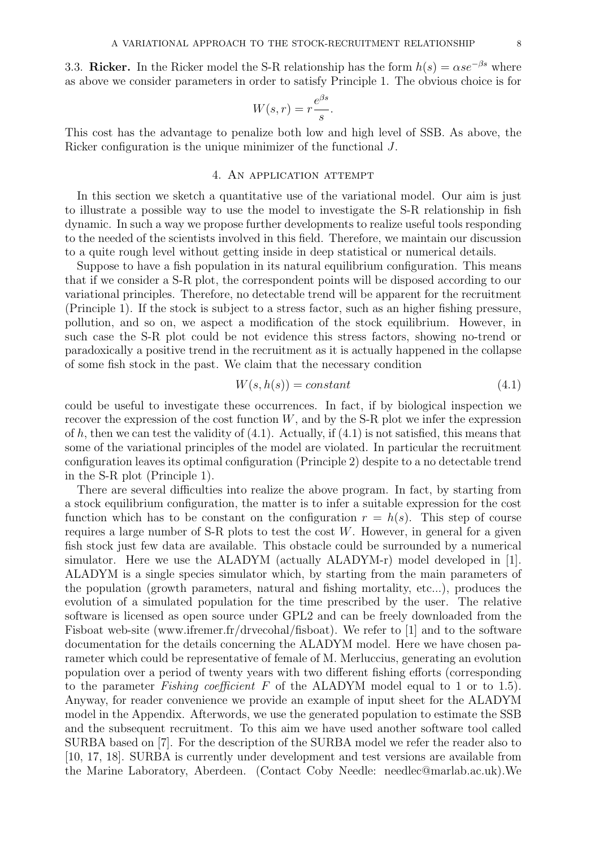3.3. Ricker. In the Ricker model the S-R relationship has the form  $h(s) = \alpha s e^{-\beta s}$  where as above we consider parameters in order to satisfy Principle 1. The obvious choice is for

$$
W(s,r) = r \frac{e^{\beta s}}{s}.
$$

This cost has the advantage to penalize both low and high level of SSB. As above, the Ricker configuration is the unique minimizer of the functional J.

### 4. An application attempt

In this section we sketch a quantitative use of the variational model. Our aim is just to illustrate a possible way to use the model to investigate the S-R relationship in fish dynamic. In such a way we propose further developments to realize useful tools responding to the needed of the scientists involved in this field. Therefore, we maintain our discussion to a quite rough level without getting inside in deep statistical or numerical details.

Suppose to have a fish population in its natural equilibrium configuration. This means that if we consider a S-R plot, the correspondent points will be disposed according to our variational principles. Therefore, no detectable trend will be apparent for the recruitment (Principle 1). If the stock is subject to a stress factor, such as an higher fishing pressure, pollution, and so on, we aspect a modification of the stock equilibrium. However, in such case the S-R plot could be not evidence this stress factors, showing no-trend or paradoxically a positive trend in the recruitment as it is actually happened in the collapse of some fish stock in the past. We claim that the necessary condition

$$
W(s, h(s)) = constant \tag{4.1}
$$

could be useful to investigate these occurrences. In fact, if by biological inspection we recover the expression of the cost function  $W$ , and by the S-R plot we infer the expression of h, then we can test the validity of  $(4.1)$ . Actually, if  $(4.1)$  is not satisfied, this means that some of the variational principles of the model are violated. In particular the recruitment configuration leaves its optimal configuration (Principle 2) despite to a no detectable trend in the S-R plot (Principle 1).

There are several difficulties into realize the above program. In fact, by starting from a stock equilibrium configuration, the matter is to infer a suitable expression for the cost function which has to be constant on the configuration  $r = h(s)$ . This step of course requires a large number of S-R plots to test the cost  $W$ . However, in general for a given fish stock just few data are available. This obstacle could be surrounded by a numerical simulator. Here we use the ALADYM (actually ALADYM-r) model developed in [1]. ALADYM is a single species simulator which, by starting from the main parameters of the population (growth parameters, natural and fishing mortality, etc...), produces the evolution of a simulated population for the time prescribed by the user. The relative software is licensed as open source under GPL2 and can be freely downloaded from the Fisboat web-site (www.ifremer.fr/drvecohal/fisboat). We refer to [1] and to the software documentation for the details concerning the ALADYM model. Here we have chosen parameter which could be representative of female of M. Merluccius, generating an evolution population over a period of twenty years with two different fishing efforts (corresponding to the parameter Fishing coefficient F of the ALADYM model equal to 1 or to 1.5). Anyway, for reader convenience we provide an example of input sheet for the ALADYM model in the Appendix. Afterwords, we use the generated population to estimate the SSB and the subsequent recruitment. To this aim we have used another software tool called SURBA based on [7]. For the description of the SURBA model we refer the reader also to [10, 17, 18]. SURBA is currently under development and test versions are available from the Marine Laboratory, Aberdeen. (Contact Coby Needle: needlec@marlab.ac.uk).We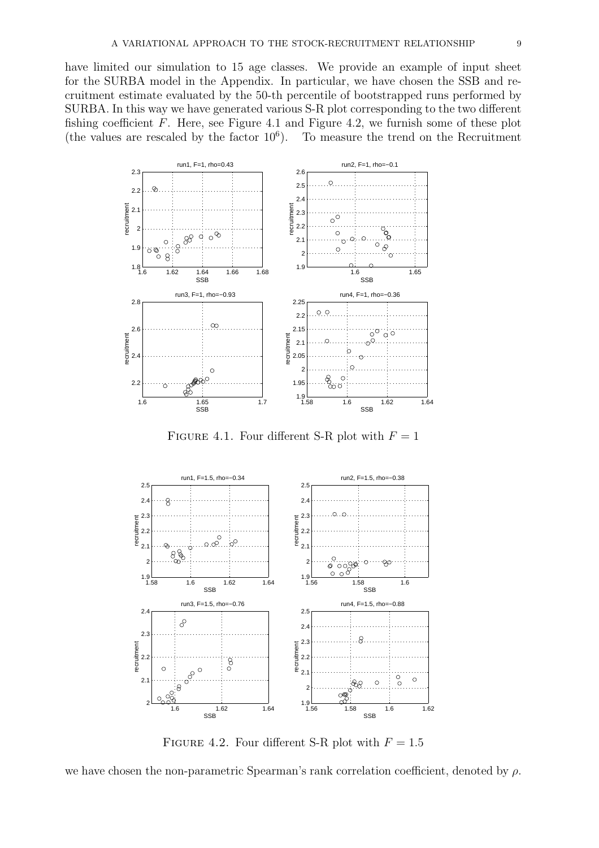have limited our simulation to 15 age classes. We provide an example of input sheet for the SURBA model in the Appendix. In particular, we have chosen the SSB and recruitment estimate evaluated by the 50-th percentile of bootstrapped runs performed by SURBA. In this way we have generated various S-R plot corresponding to the two different fishing coefficient  $F$ . Here, see Figure 4.1 and Figure 4.2, we furnish some of these plot (the values are rescaled by the factor  $10^6$ ). To measure the trend on the Recruitment



FIGURE 4.1. Four different S-R plot with  $F = 1$ 



FIGURE 4.2. Four different S-R plot with  $F = 1.5$ 

we have chosen the non-parametric Spearman's rank correlation coefficient, denoted by  $\rho$ .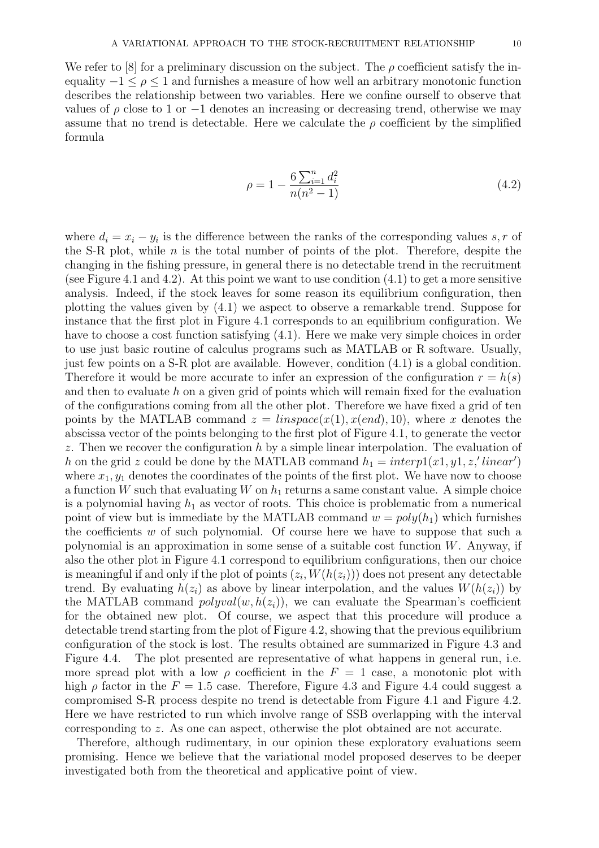We refer to  $[8]$  for a preliminary discussion on the subject. The  $\rho$  coefficient satisfy the inequality  $-1 \leq \rho \leq 1$  and furnishes a measure of how well an arbitrary monotonic function describes the relationship between two variables. Here we confine ourself to observe that values of  $\rho$  close to 1 or  $-1$  denotes an increasing or decreasing trend, otherwise we may assume that no trend is detectable. Here we calculate the  $\rho$  coefficient by the simplified formula

$$
\rho = 1 - \frac{6\sum_{i=1}^{n} d_i^2}{n(n^2 - 1)}\tag{4.2}
$$

where  $d_i = x_i - y_i$  is the difference between the ranks of the corresponding values s, r of the S-R plot, while  $n$  is the total number of points of the plot. Therefore, despite the changing in the fishing pressure, in general there is no detectable trend in the recruitment (see Figure 4.1 and 4.2). At this point we want to use condition  $(4.1)$  to get a more sensitive analysis. Indeed, if the stock leaves for some reason its equilibrium configuration, then plotting the values given by (4.1) we aspect to observe a remarkable trend. Suppose for instance that the first plot in Figure 4.1 corresponds to an equilibrium configuration. We have to choose a cost function satisfying (4.1). Here we make very simple choices in order to use just basic routine of calculus programs such as MATLAB or R software. Usually, just few points on a S-R plot are available. However, condition (4.1) is a global condition. Therefore it would be more accurate to infer an expression of the configuration  $r = h(s)$ and then to evaluate h on a given grid of points which will remain fixed for the evaluation of the configurations coming from all the other plot. Therefore we have fixed a grid of ten points by the MATLAB command  $z = linspace(x(1), x(end), 10)$ , where x denotes the abscissa vector of the points belonging to the first plot of Figure 4.1, to generate the vector z. Then we recover the configuration  $h$  by a simple linear interpolation. The evaluation of h on the grid z could be done by the MATLAB command  $h_1 = \text{interpl}(x_1, y_1, z, \text{'linear'})$ where  $x_1, y_1$  denotes the coordinates of the points of the first plot. We have now to choose a function W such that evaluating W on  $h_1$  returns a same constant value. A simple choice is a polynomial having  $h_1$  as vector of roots. This choice is problematic from a numerical point of view but is immediate by the MATLAB command  $w = poly(h_1)$  which furnishes the coefficients  $w$  of such polynomial. Of course here we have to suppose that such a polynomial is an approximation in some sense of a suitable cost function  $W$ . Anyway, if also the other plot in Figure 4.1 correspond to equilibrium configurations, then our choice is meaningful if and only if the plot of points  $(z_i, W(h(z_i)))$  does not present any detectable trend. By evaluating  $h(z_i)$  as above by linear interpolation, and the values  $W(h(z_i))$  by the MATLAB command  $polyval(w, h(z_i))$ , we can evaluate the Spearman's coefficient for the obtained new plot. Of course, we aspect that this procedure will produce a detectable trend starting from the plot of Figure 4.2, showing that the previous equilibrium configuration of the stock is lost. The results obtained are summarized in Figure 4.3 and Figure 4.4. The plot presented are representative of what happens in general run, i.e. more spread plot with a low  $\rho$  coefficient in the  $F = 1$  case, a monotonic plot with high  $\rho$  factor in the  $F = 1.5$  case. Therefore, Figure 4.3 and Figure 4.4 could suggest a compromised S-R process despite no trend is detectable from Figure 4.1 and Figure 4.2. Here we have restricted to run which involve range of SSB overlapping with the interval corresponding to z. As one can aspect, otherwise the plot obtained are not accurate.

Therefore, although rudimentary, in our opinion these exploratory evaluations seem promising. Hence we believe that the variational model proposed deserves to be deeper investigated both from the theoretical and applicative point of view.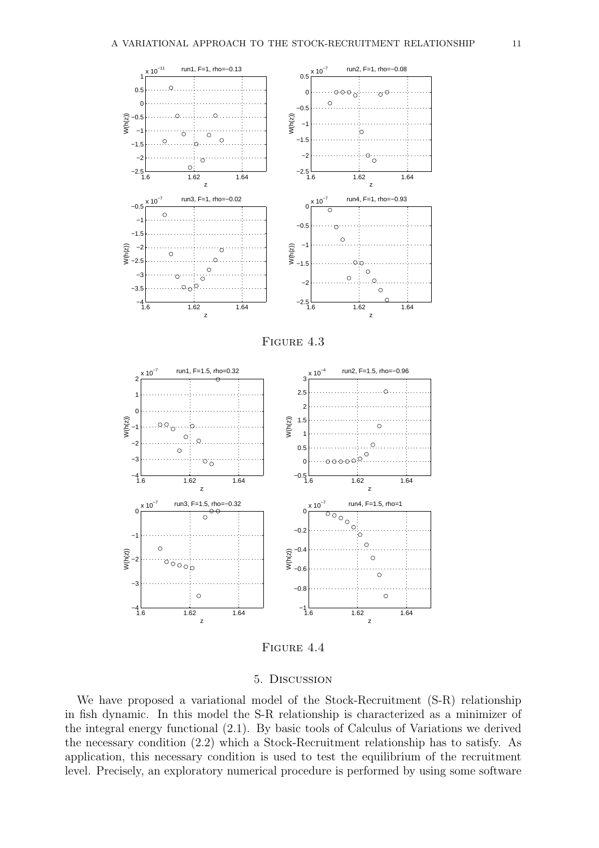





FIGURE 4.4

### 5. Discussion

We have proposed a variational model of the Stock-Recruitment  $(S-R)$  relationship in fish dynamic. In this model the S-R relationship is characterized as a minimizer of the integral energy functional (2.1). By basic tools of Calculus of Variations we derived the necessary condition (2.2) which a Stock-Recruitment relationship has to satisfy. As application, this necessary condition is used to test the equilibrium of the recruitment level. Precisely, an exploratory numerical procedure is performed by using some software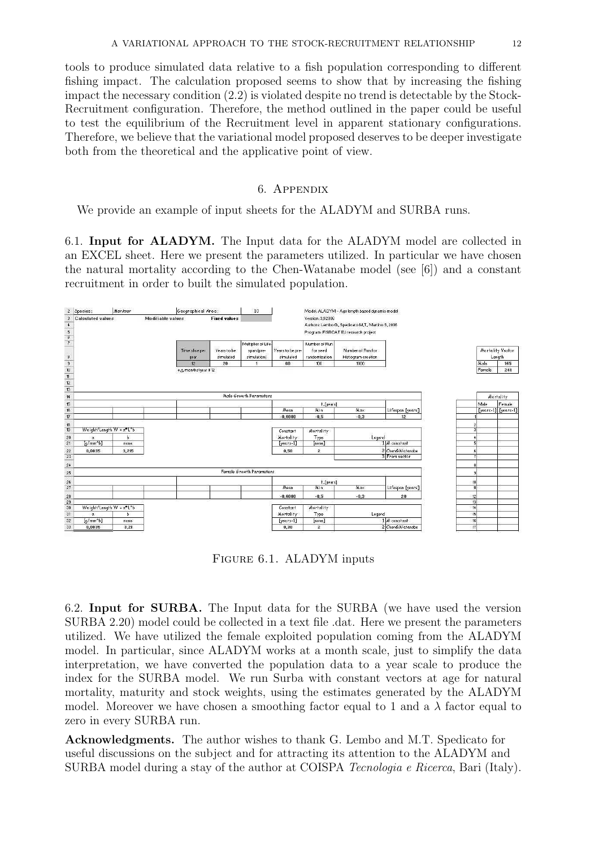tools to produce simulated data relative to a fish population corresponding to different fishing impact. The calculation proposed seems to show that by increasing the fishing impact the necessary condition (2.2) is violated despite no trend is detectable by the Stock-Recruitment configuration. Therefore, the method outlined in the paper could be useful to test the equilibrium of the Recruitment level in apparent stationary configurations. Therefore, we believe that the variational model proposed deserves to be deeper investigate both from the theoretical and the applicative point of view.

### 6. Appendix

We provide an example of input sheets for the ALADYM and SURBA runs.

6.1. Input for ALADYM. The Input data for the ALADYM model are collected in an EXCEL sheet. Here we present the parameters utilized. In particular we have chosen the natural mortality according to the Chen-Watanabe model (see [6]) and a constant recruitment in order to built the simulated population.



FIGURE 6.1. ALADYM inputs

6.2. Input for SURBA. The Input data for the SURBA (we have used the version SURBA 2.20) model could be collected in a text file .dat. Here we present the parameters utilized. We have utilized the female exploited population coming from the ALADYM model. In particular, since ALADYM works at a month scale, just to simplify the data interpretation, we have converted the population data to a year scale to produce the index for the SURBA model. We run Surba with constant vectors at age for natural mortality, maturity and stock weights, using the estimates generated by the ALADYM model. Moreover we have chosen a smoothing factor equal to 1 and a  $\lambda$  factor equal to zero in every SURBA run.

Acknowledgments. The author wishes to thank G. Lembo and M.T. Spedicato for useful discussions on the subject and for attracting its attention to the ALADYM and SURBA model during a stay of the author at COISPA Tecnologia e Ricerca, Bari (Italy).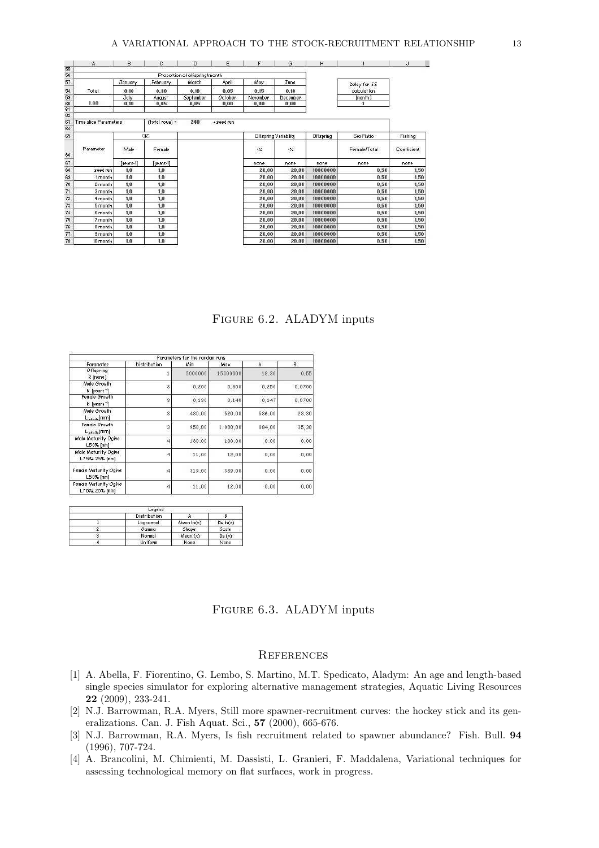|          | $\mathbf{A}$                 | B         | с              | D                             | Ε          | F                     | G        | H         |              | J           |
|----------|------------------------------|-----------|----------------|-------------------------------|------------|-----------------------|----------|-----------|--------------|-------------|
| 55       |                              |           |                |                               |            |                       |          |           |              |             |
| 56       |                              |           |                | Proportion of offspring/month |            |                       |          |           |              |             |
| 57       |                              | January   | February       | March                         | April      | May                   | June     |           | Delay for SS |             |
| 58       | Total                        | 0,10      | 0.30           | 8,10                          | 8,05       | 0.15                  | 0.10     |           | calculation  |             |
| 59       |                              | July      | August         | September                     | October    | November              | December |           | [month]      |             |
| 60       | 1.00                         | 0.10      | 0.05           | 0.05                          | 0,00       | 0,00                  | 0,00     |           |              |             |
| 61       |                              |           |                |                               |            |                       |          |           |              |             |
| 62       |                              |           |                |                               |            |                       |          |           |              |             |
| 63<br>64 | <b>Time slice Parameters</b> |           | (total rows) = | 240                           | + seed run |                       |          |           |              |             |
| 65       |                              |           | QZ             |                               |            | Offspring Variability |          | Offspring | Sex Ratio    | Fishing     |
| 66       | Parameter                    | Male      | Female         |                               |            | $\cdot$               | $\cdot$  |           | Female/Total | Coefficient |
| 67       |                              | [years-1] | [years-1]      |                               |            | none                  | none     | none      | none         | none        |
| 68       | seed run                     | 1,0       | 1,0            |                               |            | 20.00                 | 20.00    | 10000000  | 0.50         | 1,50        |
| 69       | 1 month                      | 1,0       | 1,0            |                               |            | 20,00                 | 20.00    | 10000000  | 0,50         | 1,50        |
| 70       | 2 month                      | 1,0       | 1,0            |                               |            | 20,00                 | 20,00    | 10000000  | 8,50         | 1,50        |
| 71       | 3 month                      | 1,0       | 1,0            |                               |            | 20,00                 | 20,00    | 10000000  | 0,50         | 1,50        |
| 72       | 4 month                      | 1,0       | 1,0            |                               |            | 20,00                 | 20.00    | 10000000  | 0,50         | 1,50        |
| 73       | 5 month                      | 1,0       | 1,0            |                               |            | 20,00                 | 20,00    | 10000000  | 0,50         | 1,50        |
| 74       | 6 month                      | 1,0       | 1,0            |                               |            | 20,00                 | 20,00    | 10000000  | 0.50         | 1,50        |
| 75       | 7 month                      | 1,0       | 1,0            |                               |            | 20,00                 | 20,00    | 10000000  | 0,50         | 1,50        |
| 76       | 8 month                      | 1,0       | 1,0            |                               |            | 20,00                 | 20,00    | 10000000  | 0,50         | 1,50        |
|          |                              |           |                |                               |            | 20,00                 | 20,00    | 10000000  | 0,50         |             |
| 77       | 9 month                      | 1,0       | 1.0            |                               |            |                       |          |           |              | 1,50        |

Figure 6.2. ALADYM inputs

|                                               |                     | Parameters for the random runs |          |        |        |
|-----------------------------------------------|---------------------|--------------------------------|----------|--------|--------|
| Parameter                                     | <b>Distribution</b> | Min                            | Max      | A      | B      |
| Offspring<br>R [none]                         |                     | 5000000                        | 15000000 | 18,30  | 0,55   |
| Male Growth<br>K [years <sup>-1</sup> ]       | 3                   | 0,200                          | 0,300    | 0,250  | 0,0700 |
| Female Growth<br>K [years <sup>-1</sup> ]     | 3                   | 0,130                          | 0,140    | 0,147  | 0,0700 |
| Male Growth<br>$L_{\text{infall}}[\text{mm}]$ | $\overline{3}$      | 480,00                         | 520,00   | 586,00 | 28,30  |
| Female Growth<br>$L_{initial}$ [mm]           | 3                   | 950.00                         | 1.000,00 | 884.00 | 35,30  |
| Male Maturity Ogive<br>$L50%$ [mm]            | 4                   | 180.00                         | 200.00   | 0.00   | 0,00   |
| Male Maturity Ogive<br>L75%L25% [mm]          | 4                   | 11,00                          | 12,00    | 0,00   | 0,00   |
| Female Maturity Ogive<br>$L50%$ [mm]          | 4                   | 319,00                         | 339.00   | 0,00   | 0,00   |
| Female Maturity Ogive<br>L75%L25% [mm]        | 4                   | 11,00                          | 12,00    | 0,00   | 0,00   |

|   | Legend              |              |          |
|---|---------------------|--------------|----------|
|   | <b>Distribution</b> |              |          |
|   | Lognormal           | Mean $ln(x)$ | Ds ln(x) |
|   | Gamma               | Shape        | Scale    |
| 3 | Normal              | Mean(x)      | Ds(x)    |
|   | Uniform             | None         | None     |

Figure 6.3. ALADYM inputs

#### **REFERENCES**

- [1] A. Abella, F. Fiorentino, G. Lembo, S. Martino, M.T. Spedicato, Aladym: An age and length-based single species simulator for exploring alternative management strategies, Aquatic Living Resources 22 (2009), 233-241.
- [2] N.J. Barrowman, R.A. Myers, Still more spawner-recruitment curves: the hockey stick and its generalizations. Can. J. Fish Aquat. Sci., 57 (2000), 665-676.
- [3] N.J. Barrowman, R.A. Myers, Is fish recruitment related to spawner abundance? Fish. Bull. 94 (1996), 707-724.
- [4] A. Brancolini, M. Chimienti, M. Dassisti, L. Granieri, F. Maddalena, Variational techniques for assessing technological memory on flat surfaces, work in progress.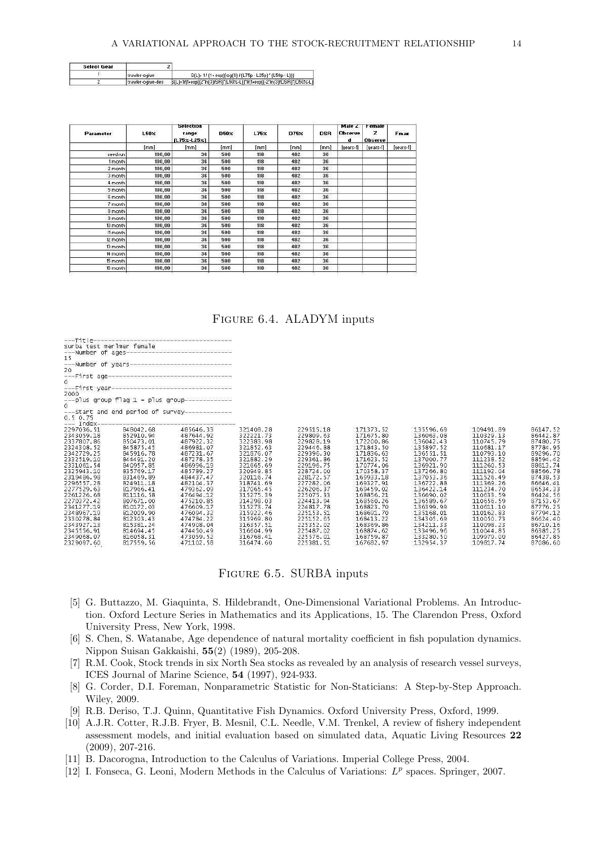| <b>Select Gear</b> |                   |                                                                        |
|--------------------|-------------------|------------------------------------------------------------------------|
|                    | I trawler-ogive   | S(L)= 1/(1+exp((log(9)/(L75p - L25p) * (L50p - L)))                    |
|                    | trawler-ogive-des | B(L)=1/(1+exp((2"ln(3)/SR)"(L50%-L))"1/(1+exp((-2"ln(3)/DSR)"(D50%-L)) |

| Parameter | L50 <sub>X</sub> | Selection<br>range<br>$(L75 \times L25 \times)$ | D50 <sub>X</sub> | L75 <sub>X</sub> | D75 <sub>X</sub> | DSR  | Male Z<br><b>Observe</b><br>d | Female<br>z<br><b>Observe</b> | Fmax      |
|-----------|------------------|-------------------------------------------------|------------------|------------------|------------------|------|-------------------------------|-------------------------------|-----------|
|           | [mm]             | [mm]                                            | [mm]             | [mm]             | [mm]             | [mm] | [years-1]                     | [years-1]                     | [years-1] |
| seed run  | 100,00           | 36                                              | 500              | 118              | 482              | 36   |                               |                               |           |
| 1 month   | 100,00           | 36                                              | 500              | 118              | 482              | 36   |                               |                               |           |
| 2 month   | 100,00           | 36                                              | 500              | 118              | 482              | 36   |                               |                               |           |
| 3 month   | 100.00           | 36                                              | 500              | 118              | 482              | 36   |                               |                               |           |
| 4 month   | 100,00           | 36                                              | 500              | 118              | 482              | 36   |                               |                               |           |
| 5 month   | 100,00           | 36                                              | 500              | 118              | 482              | 36   |                               |                               |           |
| 6 month   | 100.00           | 36                                              | 500              | 118              | 482              | 36   |                               |                               |           |
| 7 month   | 100.00           | 36                                              | 500              | 118              | 482              | 36   |                               |                               |           |
| 8 month   | 100.00           | 36                                              | 500              | 118              | 482              | 36   |                               |                               |           |
| 9 month   | 100,00           | 36                                              | 500              | 118              | 482              | 36   |                               |                               |           |
| 10 month  | 100,00           | 36                                              | 500              | 118              | 482              | 36   |                               |                               |           |
| 11 month  | 100,00           | 36                                              | 500              | 118              | 482              | 36   |                               |                               |           |
| 12 month  | 100,00           | 36                                              | 500              | 118              | 482              | 36   |                               |                               |           |
| 13 month  | 100.00           | 36                                              | 500              | 118              | 482              | 36   |                               |                               |           |
| 14 month  | 100,00           | 36                                              | 500              | 118              | 482              | 36   |                               |                               |           |
| 15 month  | 100,00           | 36                                              | 500              | 118              | 482              | 36   |                               |                               |           |
| 16 month  | 100,00           | 36                                              | 500              | 118              | 482              | 36   |                               |                               |           |

Figure 6.4. ALADYM inputs

136063.08<br>136042.43<br>135897.52<br>136551.51

137000.77

137000.77<br>136921.90<br>137266.80<br>136722.88<br>136422.14<br>126600.02

136690.02<br>136589.67

136399.99<br>135168.01 134305.69<br>134211.33 110329.13<br>110745.79<br>110681.17

 $\begin{array}{l} 110681.17\\ 110793.10\\ 1112738.52\\ 1112286.53\\ 111296.49\\ 1111526.49\\ 1111596.49\\ 1111234.70\\ 110633.59\\ 110641.10\\ 110098.23\\ 1110044.85\\ 11009817.74 \end{array}$ 

86442<br>87480

87784

88594

88613 88566<br>87438

87153

86710.16<br>86385.25 86710.10<br>86385.25<br>86427.85<br>87086.60

| ---Title-------                                                                                              |                                   |                                                                                                                |           |           |           |
|--------------------------------------------------------------------------------------------------------------|-----------------------------------|----------------------------------------------------------------------------------------------------------------|-----------|-----------|-----------|
|                                                                                                              |                                   |                                                                                                                |           |           |           |
|                                                                                                              |                                   | surba test merlmer female<br>---Number of ages------------------------------                                   |           |           |           |
|                                                                                                              |                                   | --<br>---Number of years-----------------------------<br>---First age----------------------------------<br>o . |           |           |           |
|                                                                                                              |                                   |                                                                                                                |           |           |           |
|                                                                                                              |                                   |                                                                                                                |           |           |           |
|                                                                                                              |                                   |                                                                                                                |           |           |           |
|                                                                                                              |                                   |                                                                                                                |           |           |           |
|                                                                                                              |                                   | 0<br>---First year-----------------------------------                                                          |           |           |           |
| 2000                                                                                                         |                                   |                                                                                                                |           |           |           |
|                                                                                                              |                                   |                                                                                                                |           |           |           |
|                                                                                                              |                                   | $o^{-1}$ plus group flag 1 = plus group----------------                                                        |           |           |           |
|                                                                                                              |                                   |                                                                                                                |           |           |           |
| 0.5, 0.75                                                                                                    |                                   |                                                                                                                |           |           |           |
|                                                                                                              | --- Index------------------------ |                                                                                                                |           |           |           |
| 2297036.51                                                                                                   | 848042.68                         | 485646.33                                                                                                      | 321408.28 | 229515.18 | 171373.52 |
| 2343059.18                                                                                                   | 852910.94                         | 487644.92                                                                                                      | 322221.73 | 229809.63 | 171675.80 |
| 2337807.86                                                                                                   | 850473.01                         | 487922.32                                                                                                      | 322383.98 | 229828.19 | 172200.86 |
| 2324308.52                                                                                                   | 845875.45                         | 486981.07                                                                                                      | 321852.63 | 229446.88 | 171843.50 |
| 2342729.25                                                                                                   | 845916.78                         | 487231.67                                                                                                      | 321876.07 | 229396.30 | 171836.63 |
| 2332519.10                                                                                                   | 844491.20                         | 487278.35                                                                                                      | 321882.29 | 229361.86 | 171623.52 |
| 2331061.54                                                                                                   | 840957.85                         | 486996.19                                                                                                      | 321665.69 | 229196.75 | 170774.06 |
|                                                                                                              |                                   |                                                                                                                |           |           |           |
| 2325943.10                                                                                                   | 835769.17                         | 485789.27                                                                                                      | 320949.85 | 228724.00 | 170358.37 |
| 2319486.98                                                                                                   | 831469.89                         | 484437.47                                                                                                      | 320116.74 | 228172.57 | 169933.18 |
| 2296557.28                                                                                                   | 824911.18                         | 482104.37                                                                                                      | 318741.69 | 227282.06 | 169327.91 |
|                                                                                                              |                                   | 479362.09                                                                                                      | 317065.45 | 226206.37 | 169459.02 |
|                                                                                                              | 817966.41                         |                                                                                                                |           |           |           |
|                                                                                                              | 811116.58                         | 476494.12                                                                                                      | 315275.39 | 225075.33 | 168856.21 |
|                                                                                                              | 807671.00                         | 475210.85                                                                                                      | 314298.03 | 224413.94 | 168560.26 |
|                                                                                                              | 810172.03                         | 476609.17                                                                                                      | 315273.74 | 224817.78 | 168823.70 |
|                                                                                                              | 812009.90                         | 476094.32                                                                                                      | 315922.46 | 225153.51 | 168691.70 |
|                                                                                                              | 812303.43                         | 474784.22                                                                                                      | 315969.80 | 225152.65 | 168413.22 |
|                                                                                                              | 815381.24                         | 474908.04                                                                                                      | 316357.51 | 225352.02 | 168369.86 |
| 2277529.63<br>2261226.68<br>2270372.42<br>2341277.19<br>2348967.19<br>2330278.84<br>2343927.13<br>2345556.91 | 814694.45                         | 474450.49                                                                                                      | 316604.99 | 225487.02 | 168874.62 |
| 2349068.07                                                                                                   | 816058.31                         | 473059.52                                                                                                      | 316768.41 | 225576.01 | 168759.87 |

### Figure 6.5. SURBA inputs

- [5] G. Buttazzo, M. Giaquinta, S. Hildebrandt, One-Dimensional Variational Problems. An Introduction. Oxford Lecture Series in Mathematics and its Applications, 15. The Clarendon Press, Oxford University Press, New York, 1998.
- [6] S. Chen, S. Watanabe, Age dependence of natural mortality coefficient in fish population dynamics. Nippon Suisan Gakkaishi, 55(2) (1989), 205-208.
- [7] R.M. Cook, Stock trends in six North Sea stocks as revealed by an analysis of research vessel surveys, ICES Journal of Marine Science, 54 (1997), 924-933.
- [8] G. Corder, D.I. Foreman, Nonparametric Statistic for Non-Staticians: A Step-by-Step Approach. Wiley, 2009.
- [9] R.B. Deriso, T.J. Quinn, Quantitative Fish Dynamics. Oxford University Press, Oxford, 1999.
- [10] A.J.R. Cotter, R.J.B. Fryer, B. Mesnil, C.L. Needle, V.M. Trenkel, A review of fishery independent assessment models, and initial evaluation based on simulated data, Aquatic Living Resources 22 (2009), 207-216.
- [11] B. Dacorogna, Introduction to the Calculus of Variations. Imperial College Press, 2004.
- [12] I. Fonseca, G. Leoni, Modern Methods in the Calculus of Variations:  $L^p$  spaces. Springer, 2007.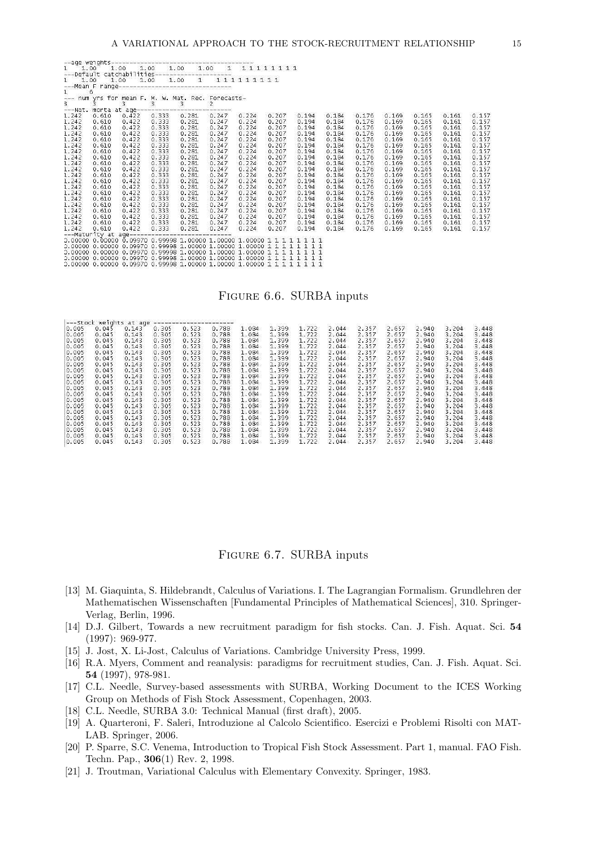|       |       |                 |                 | 1<br>--- num yrs for mean F. M. W. Mat. Rec. Forecasts-<br>3 3 3 3 3 3 2<br>---Nat. morta at age---------------------------- |             |       |       |       |                 |       |       |       |       |       |
|-------|-------|-----------------|-----------------|------------------------------------------------------------------------------------------------------------------------------|-------------|-------|-------|-------|-----------------|-------|-------|-------|-------|-------|
|       |       |                 |                 |                                                                                                                              |             |       |       |       |                 |       |       |       |       |       |
| 1.242 | 0.610 | 0.422           | $0.333$ $0.281$ |                                                                                                                              | 0.247 0.224 |       | 0.207 | 0.194 | 0.184           | 0.176 | 0.169 | 0.165 | 0.161 | 0.157 |
| 1.242 | 0.610 | 0.422           | 0.333           | 0.281                                                                                                                        | 0.247       | 0.224 | 0.207 | 0.194 | 0.184           | 0.176 | 0.169 | 0.165 | 0.161 | 0.157 |
| 1.242 | 0.610 | 0.422           | 0.333           | 0.281                                                                                                                        | 0.247       | 0.224 | 0.207 | 0.194 | 0.184           | 0.176 | 0.169 | 0.165 | 0.161 | 0.157 |
| 1.242 | 0.610 | 0.422           | 0.333           | 0.281                                                                                                                        | 0.247       | 0.224 | 0.207 | 0.194 | 0.184           | 0.176 | 0.169 | 0.165 | 0.161 | 0.157 |
| 1.242 | 0.610 | 0.422           | 0.333           | 0.281                                                                                                                        | 0.247       | 0.224 | 0.207 | 0.194 | 0.184           | 0.176 | 0.169 | 0.165 | 0.161 | 0.157 |
| 1.242 | 0.610 | 0.422           | 0.333           | 0.281                                                                                                                        | 0.247       | 0.224 | 0.207 | 0.194 | 0.184           | 0.176 | 0.169 | 0.165 | 0.161 | 0.157 |
| 1.242 | 0.610 | 0.422           | 0.333           | 0.281                                                                                                                        | 0.247       | 0.224 | 0.207 | 0.194 | 0.184           | 0.176 | 0.169 | 0.165 | 0.161 | 0.157 |
| 1.242 | 0.610 | 0.422           | 0.333           | 0.281                                                                                                                        | 0.247       | 0.224 | 0.207 | 0.194 | 0.184           | 0.176 | 0.169 | 0.165 | 0.161 | 0.157 |
| 1.242 | 0.610 | 0.422           | 0.333           | 0.281                                                                                                                        | 0.247       | 0.224 | 0.207 | 0.194 | 0.184           | 0.176 | 0.169 | 0.165 | 0.161 | 0.157 |
| 1.242 | 0.610 | 0.422           | 0.333           | 0.281                                                                                                                        | 0.247       | 0.224 | 0.207 | 0.194 | 0.184           | 0.176 | 0.169 | 0.165 | 0.161 | 0.157 |
| 1.242 | 0.610 | 0.422           | 0.333           | 0.281                                                                                                                        | 0.247       | 0.224 | 0.207 | 0.194 | 0.184           | 0.176 | 0.169 | 0.165 | 0.161 | 0.157 |
| 1.242 | 0.610 | 0.422           | 0.333           | 0.281                                                                                                                        | 0.247       | 0.224 | 0.207 | 0.194 | 0.184           | 0.176 | 0.169 | 0.165 | 0.161 | 0.157 |
| 1.242 | 0.610 | 0.422           | 0.333           | 0.281                                                                                                                        | 0.247       | 0.224 | 0.207 | 0.194 | 0.184           | 0.176 | 0.169 | 0.165 | 0.161 | 0.157 |
| 1.242 | 0.610 | 0.422           | 0.333           | 0.281                                                                                                                        | 0.247       | 0.224 | 0.207 | 0.194 | 0.184           | 0.176 | 0.169 | 0.165 | 0.161 | 0.157 |
| 1.242 | 0.610 | 0.422           | 0.333           | 0.281                                                                                                                        | 0.247       | 0.224 | 0.207 | 0.194 | 0.184           | 0.176 | 0.169 | 0.165 | 0.161 | 0.157 |
| 1.242 | 0.610 | 0.422           | 0.333           | 0.281                                                                                                                        | 0.247       | 0.224 | 0.207 | 0.194 | 0.184           | 0.176 | 0.169 | 0.165 | 0.161 | 0.157 |
| 1.242 | 0.610 | 0.422           | 0.333           | 0.281                                                                                                                        | 0.247       | 0.224 | 0.207 | 0.194 | 0.184           | 0.176 | 0.169 | 0.165 | 0.161 | 0.157 |
| 1.242 | 0.610 | 0.422           | 0.333           | 0.281                                                                                                                        | 0.247       | 0.224 | 0.207 | 0.194 | 0.184           | 0.176 | 0.169 | 0.165 | 0.161 | 0.157 |
| 1.242 | 0.610 | $0.422$ $0.333$ |                 | $0.281$ $0.247$                                                                                                              |             | 0.224 | 0.207 | 0.194 | $0.184$ $0.176$ |       | 0.169 | 0.165 | 0.161 | 0.157 |
| 1.242 | 0.610 |                 |                 | $0.422$ $0.333$ $0.281$ $0.247$<br>--- Maturity at age-----------------------------                                          |             | 0.224 | 0.207 | 0.194 | 0.184           | 0.176 | 0.169 | 0.165 | 0.161 | 0.157 |
|       |       |                 |                 |                                                                                                                              |             |       |       |       |                 |       |       |       |       |       |
|       |       |                 |                 |                                                                                                                              |             |       |       |       |                 |       |       |       |       |       |
|       |       |                 |                 |                                                                                                                              |             |       |       |       |                 |       |       |       |       |       |
|       |       |                 |                 |                                                                                                                              |             |       |       |       |                 |       |       |       |       |       |
|       |       |                 |                 |                                                                                                                              |             |       |       |       |                 |       |       |       |       |       |
|       |       |                 |                 |                                                                                                                              |             |       |       |       |                 |       |       |       |       |       |

#### Figure 6.6. SURBA inputs

|       |       | ---Stock weights at age |       |       |       |       |        |        |       |       |       |       |       |       |
|-------|-------|-------------------------|-------|-------|-------|-------|--------|--------|-------|-------|-------|-------|-------|-------|
| 0.005 | 0.045 | 0.143                   | 0.305 | 0.523 | 0.788 | 1.084 | 1.399  | 1.722  | 2.044 | 2.357 | 2.657 | 2.940 | 3.204 | 3.448 |
| 0.005 | 0.045 | 0.143                   | 0.305 | 0.523 | 0.788 | 1.084 | 1.399  | 1.722  | 2.044 | 2.357 | 2.657 | 2.940 | 3.204 | 3.448 |
| 0.005 | 0.045 | 0.143                   | 0.305 | 0.523 | 0.788 | 1.084 | 1.399  | 1.722  | 2.044 | 2.357 | 2.657 | 2.940 | 3.204 | 3.448 |
| 0.005 | 0.045 | 0.143                   | 0.305 | 0.523 | 0.788 | 1.084 | 1.399  | 1.722  | 2.044 | 2.357 | 2.657 | 2.940 | 3.204 | 3.448 |
| 0.005 | 0.045 | 0.143                   | 0.305 | 0.523 | 0.788 | 1.084 | 1.399  | 1.722  | 2.044 | 2.357 | 2.657 | 2.940 | 3.204 | 3.448 |
| 0.005 | 0.045 | 0.143                   | 0.305 | 0.523 | 0.788 | 1.084 | 1.399  | 1.722  | 2.044 | 2.357 | 2.657 | 2.940 | 3.204 | 3.448 |
| 0.005 | 0.045 | 0.143                   | 0.305 | 0.523 | 0.788 | 1.084 | 1.399  | 1.722  | 2.044 | 2.357 | 2.657 | 2.940 | 3.204 | 3.448 |
| 0.005 | 0.045 | 0.143                   | 0.305 | 0.523 | 0.788 | 1.084 | 1.399  | 1.722  | 2.044 | 2.357 | 2.657 | 2.940 | 3.204 | 3.448 |
| 0.005 | 0.045 | 0.143                   | 0.305 | 0.523 | 0.788 | 1.084 | 1.399  | 1.722  | 2.044 | 2.357 | 2.657 | 2.940 | 3.204 | 3.448 |
| 0.005 | 0.045 | 0.143                   | 0.305 | 0.523 | 0.788 | 1.084 | 1.399  | 1.722  | 2.044 | 2.357 | 2.657 | 2.940 | 3.204 | 3.448 |
| 0.005 | 0.045 | 0.143                   | 0.305 | 0.523 | 0.788 | 1.084 | 1.399  | 1.722  | 2.044 | 2.357 | 2.657 | 2.940 | 3.204 | 3.448 |
| 0.005 | 0.045 | 0.143                   | 0.305 | 0.523 | 0.788 | 1.084 | 1.399  | 1.722  | 2.044 | 2.357 | 2.657 | 2.940 | 3.204 | 3.448 |
| 0.005 | 0.045 | 0.143                   | 0.305 | 0.523 | 0.788 | 1.084 | 1.399  | 1.722  | 2.044 | 2.357 | 2.657 | 2.940 | 3.204 | 3.448 |
| 0.005 | 0.045 | 0.143                   | 0.305 | 0.523 | 0.788 | 1.084 | 1.399  | 1.722  | 2.044 | 2.357 | 2.657 | 2.940 | 3.204 | 3.448 |
| 0.005 | 0.045 | 0.143                   | 0.305 | 0.523 | 0.788 | 1.084 | 1.399  | 1.722  | 2.044 | 2.357 | 2.657 | 2.940 | 3.204 | 3.448 |
| 0.005 | 0.045 | 0.143                   | 0.305 | 0.523 | 0.788 | 1.084 | 1.399  | 1.722  | 2.044 | 2.357 | 2.657 | 2.940 | 3.204 | 3.448 |
| 0.005 | 0.045 | 0.143                   | 0.305 | 0.523 | 0.788 | 1.084 | 1.399  | 1.722  | 2.044 | 2.357 | 2.657 | 2.940 | 3.204 | 3.448 |
| 0.005 | 0.045 | 0.143                   | 0.305 | 0.523 | 0.788 | 1.084 | 1.399  | 1.722  | 2.044 | 2.357 | 2.657 | 2.940 | 3.204 | 3,448 |
| 0.005 | 0.045 | 0.143                   | 0.305 | 0.523 | 0.788 | 1.084 | 1.399  | 1.722  | 2.044 | 2.357 | 2.657 | 2.940 | 3.204 | 3.448 |
| 0.005 | 0.045 | 0.143                   | 0.305 | 0.523 | 0.788 | 1.084 | 1, 200 | 1, 722 | 2.044 | 2.357 | 2.657 | 2.940 | 3.204 | 3.448 |

#### Figure 6.7. SURBA inputs

- [13] M. Giaquinta, S. Hildebrandt, Calculus of Variations. I. The Lagrangian Formalism. Grundlehren der Mathematischen Wissenschaften [Fundamental Principles of Mathematical Sciences], 310. Springer-Verlag, Berlin, 1996.
- [14] D.J. Gilbert, Towards a new recruitment paradigm for fish stocks. Can. J. Fish. Aquat. Sci. 54 (1997): 969-977.
- [15] J. Jost, X. Li-Jost, Calculus of Variations. Cambridge University Press, 1999.
- [16] R.A. Myers, Comment and reanalysis: paradigms for recruitment studies, Can. J. Fish. Aquat. Sci. 54 (1997), 978-981.
- [17] C.L. Needle, Survey-based assessments with SURBA, Working Document to the ICES Working Group on Methods of Fish Stock Assessment, Copenhagen, 2003.
- [18] C.L. Needle, SURBA 3.0: Technical Manual (first draft), 2005.
- [19] A. Quarteroni, F. Saleri, Introduzione al Calcolo Scientifico. Esercizi e Problemi Risolti con MAT-LAB. Springer, 2006.
- [20] P. Sparre, S.C. Venema, Introduction to Tropical Fish Stock Assessment. Part 1, manual. FAO Fish. Techn. Pap., 306(1) Rev. 2, 1998.
- [21] J. Troutman, Variational Calculus with Elementary Convexity. Springer, 1983.